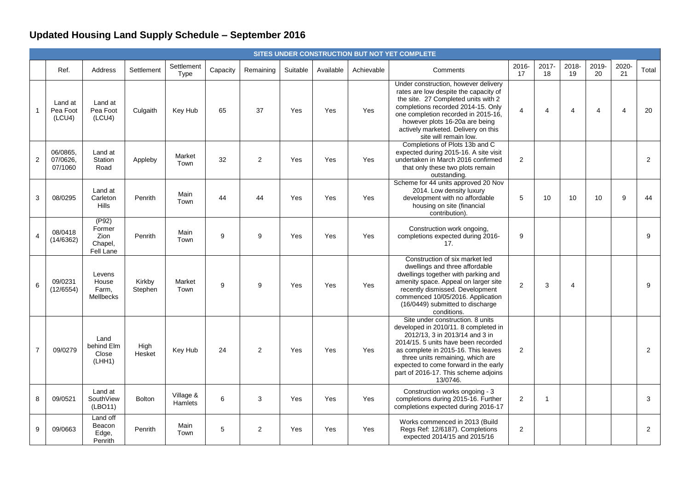## **Updated Housing Land Supply Schedule – September 2016**

|                |                                 |                                                 |                   |                      |          |                |          |           |            | SITES UNDER CONSTRUCTION BUT NOT YET COMPLETE                                                                                                                                                                                                                                                                             |                |                |                |             |                |                |
|----------------|---------------------------------|-------------------------------------------------|-------------------|----------------------|----------|----------------|----------|-----------|------------|---------------------------------------------------------------------------------------------------------------------------------------------------------------------------------------------------------------------------------------------------------------------------------------------------------------------------|----------------|----------------|----------------|-------------|----------------|----------------|
|                | Ref.                            | Address                                         | Settlement        | Settlement<br>Type   | Capacity | Remaining      | Suitable | Available | Achievable | Comments                                                                                                                                                                                                                                                                                                                  | 2016-<br>17    | 2017-<br>18    | 2018-<br>19    | 2019-<br>20 | 2020-<br>21    | Total          |
| $\mathbf{1}$   | Land at<br>Pea Foot<br>(LCU4)   | Land at<br>Pea Foot<br>(LCU4)                   | Culgaith          | Key Hub              | 65       | 37             | Yes      | Yes       | Yes        | Under construction, however delivery<br>rates are low despite the capacity of<br>the site. 27 Completed units with 2<br>completions recorded 2014-15. Only<br>one completion recorded in 2015-16,<br>however plots 16-20a are being<br>actively marketed. Delivery on this<br>site will remain low.                       | 4              | $\overline{4}$ | 4              | 4           | $\overline{4}$ | 20             |
| $\overline{2}$ | 06/0865.<br>07/0626,<br>07/1060 | Land at<br>Station<br>Road                      | Appleby           | Market<br>Town       | 32       | $\overline{2}$ | Yes      | Yes       | Yes        | Completions of Plots 13b and C<br>expected during 2015-16. A site visit<br>undertaken in March 2016 confirmed<br>that only these two plots remain<br>outstanding.                                                                                                                                                         | 2              |                |                |             |                | $\overline{2}$ |
| 3              | 08/0295                         | Land at<br>Carleton<br><b>Hills</b>             | Penrith           | Main<br>Town         | 44       | 44             | Yes      | Yes       | Yes        | Scheme for 44 units approved 20 Nov<br>2014. Low density luxury<br>development with no affordable<br>housing on site (financial<br>contribution).                                                                                                                                                                         | 5              | 10             | 10             | 10          | 9              | 44             |
| $\overline{4}$ | 08/0418<br>(14/6362)            | (P92)<br>Former<br>Zion<br>Chapel,<br>Fell Lane | Penrith           | Main<br>Town         | 9        | 9              | Yes      | Yes       | Yes        | Construction work ongoing,<br>completions expected during 2016-<br>17.                                                                                                                                                                                                                                                    | 9              |                |                |             |                | 9              |
| 6              | 09/0231<br>(12/6554)            | Levens<br>House<br>Farm.<br><b>Mellbecks</b>    | Kirkby<br>Stephen | Market<br>Town       | 9        | 9              | Yes      | Yes       | Yes        | Construction of six market led<br>dwellings and three affordable<br>dwellings together with parking and<br>amenity space. Appeal on larger site<br>recently dismissed. Development<br>commenced 10/05/2016. Application<br>(16/0449) submitted to discharge<br>conditions.                                                | $\overline{2}$ | 3              | $\overline{4}$ |             |                | 9              |
| $\overline{7}$ | 09/0279                         | Land<br>behind Elm<br>Close<br>(LHH1)           | High<br>Hesket    | Key Hub              | 24       | $\overline{2}$ | Yes      | Yes       | Yes        | Site under construction. 8 units<br>developed in 2010/11. 8 completed in<br>2012/13, 3 in 2013/14 and 3 in<br>2014/15. 5 units have been recorded<br>as complete in 2015-16. This leaves<br>three units remaining, which are<br>expected to come forward in the early<br>part of 2016-17. This scheme adjoins<br>13/0746. | 2              |                |                |             |                | $\overline{c}$ |
| 8              | 09/0521                         | Land at<br>SouthView<br>(LBO11)                 | <b>Bolton</b>     | Village &<br>Hamlets | 6        | 3              | Yes      | Yes       | Yes        | Construction works ongoing - 3<br>completions during 2015-16. Further<br>completions expected during 2016-17                                                                                                                                                                                                              | 2              | $\overline{1}$ |                |             |                | 3              |
| 9              | 09/0663                         | Land off<br>Beacon<br>Edge,<br>Penrith          | Penrith           | Main<br>Town         | 5        | 2              | Yes      | Yes       | Yes        | Works commenced in 2013 (Build<br>Regs Ref: 12/6187). Completions<br>expected 2014/15 and 2015/16                                                                                                                                                                                                                         | 2              |                |                |             |                | 2              |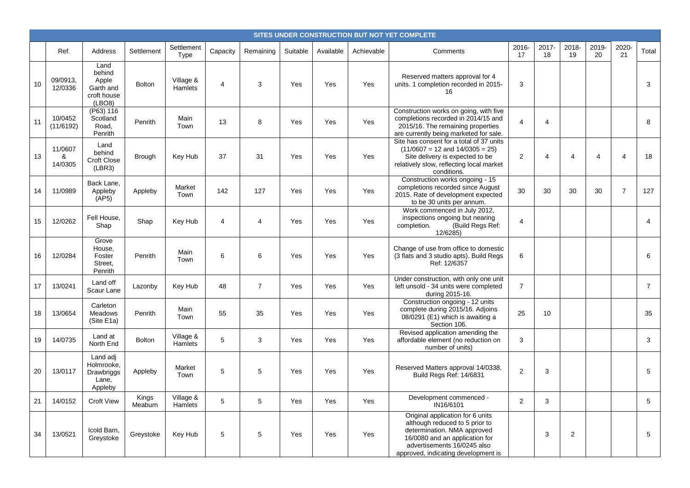|    |                         |                                                               |                  |                      |                         |                |          |           |            | SITES UNDER CONSTRUCTION BUT NOT YET COMPLETE                                                                                                                                                             |                |                |                |                       |                         |                |
|----|-------------------------|---------------------------------------------------------------|------------------|----------------------|-------------------------|----------------|----------|-----------|------------|-----------------------------------------------------------------------------------------------------------------------------------------------------------------------------------------------------------|----------------|----------------|----------------|-----------------------|-------------------------|----------------|
|    | Ref.                    | Address                                                       | Settlement       | Settlement<br>Type   | Capacity                | Remaining      | Suitable | Available | Achievable | Comments                                                                                                                                                                                                  | 2016-<br>17    | 2017-<br>18    | 2018-<br>19    | 2019-<br>20           | 2020-<br>21             | Total          |
| 10 | 09/0913.<br>12/0336     | Land<br>behind<br>Apple<br>Garth and<br>croft house<br>(LBO8) | <b>Bolton</b>    | Village &<br>Hamlets | $\overline{\mathbf{4}}$ | 3              | Yes      | Yes       | Yes        | Reserved matters approval for 4<br>units. 1 completion recorded in 2015-<br>16                                                                                                                            | $\mathbf{3}$   |                |                |                       |                         | 3              |
| 11 | 10/0452<br>(11/6192)    | (P63) 116<br>Scotland<br>Road,<br>Penrith                     | Penrith          | Main<br>Town         | 13                      | 8              | Yes      | Yes       | Yes        | Construction works on going, with five<br>completions recorded in 2014/15 and<br>2015/16. The remaining properties<br>are currently being marketed for sale.                                              | $\overline{4}$ | 4              |                |                       |                         | 8              |
| 13 | 11/0607<br>&<br>14/0305 | Land<br>behind<br>Croft Close<br>(LBR3)                       | <b>Brough</b>    | Key Hub              | 37                      | 31             | Yes      | Yes       | Yes        | Site has consent for a total of 37 units<br>$(11/0607 = 12$ and $14/0305 = 25)$<br>Site delivery is expected to be<br>relatively slow, reflecting local market<br>conditions.                             | 2              | $\overline{4}$ | 4              | $\boldsymbol{\Delta}$ | $\overline{\mathbf{4}}$ | 18             |
| 14 | 11/0989                 | Back Lane,<br>Appleby<br>(AP5)                                | Appleby          | Market<br>Town       | 142                     | 127            | Yes      | Yes       | Yes        | Construction works ongoing - 15<br>completions recorded since August<br>2015. Rate of development expected<br>to be 30 units per annum.                                                                   | 30             | 30             | 30             | 30                    | $\overline{7}$          | 127            |
| 15 | 12/0262                 | Fell House,<br>Shap                                           | Shap             | Key Hub              | 4                       | 4              | Yes      | Yes       | Yes        | Work commenced in July 2012,<br>inspections ongoing but nearing<br>(Build Regs Ref:<br>completion.<br>12/6285)                                                                                            | $\overline{4}$ |                |                |                       |                         | $\overline{4}$ |
| 16 | 12/0284                 | Grove<br>House,<br>Foster<br>Street.<br>Penrith               | Penrith          | Main<br>Town         | 6                       | 6              | Yes      | Yes       | Yes        | Change of use from office to domestic<br>(3 flats and 3 studio apts). Build Regs<br>Ref: 12/6357                                                                                                          | 6              |                |                |                       |                         | 6              |
| 17 | 13/0241                 | Land off<br>Scaur Lane                                        | Lazonby          | Key Hub              | 48                      | $\overline{7}$ | Yes      | Yes       | Yes        | Under construction, with only one unit<br>left unsold - 34 units were completed<br>during 2015-16.                                                                                                        | $\overline{7}$ |                |                |                       |                         | $\overline{7}$ |
| 18 | 13/0654                 | Carleton<br><b>Meadows</b><br>(Site E1a)                      | Penrith          | Main<br>Town         | 55                      | 35             | Yes      | Yes       | Yes        | Construction ongoing - 12 units<br>complete during 2015/16. Adjoins<br>08/0291 (E1) which is awaiting a<br>Section 106.                                                                                   | 25             | 10             |                |                       |                         | 35             |
| 19 | 14/0735                 | Land at<br>North End                                          | <b>Bolton</b>    | Village &<br>Hamlets | 5                       | 3              | Yes      | Yes       | Yes        | Revised application amending the<br>affordable element (no reduction on<br>number of units)                                                                                                               | 3              |                |                |                       |                         | 3              |
| 20 | 13/0117                 | Land adj<br>Holmrooke.<br>Drawbriggs<br>Lane,<br>Appleby      | Appleby          | Market<br>Town       | 5                       | 5              | Yes      | Yes       | Yes        | Reserved Matters approval 14/0338.<br>Build Regs Ref: 14/6831                                                                                                                                             | $\overline{2}$ | 3              |                |                       |                         | 5              |
| 21 | 14/0152                 | <b>Croft View</b>                                             | Kings<br>Meaburn | Village &<br>Hamlets | 5                       | 5              | Yes      | Yes       | Yes        | Development commenced -<br>IN16/6101                                                                                                                                                                      | 2              | 3              |                |                       |                         | 5              |
| 34 | 13/0521                 | Icold Barn,<br>Greystoke                                      | Greystoke        | Key Hub              | 5                       | 5              | Yes      | Yes       | Yes        | Original application for 6 units<br>although reduced to 5 prior to<br>determination. NMA approved<br>16/0080 and an application for<br>advertisements 16/0245 also<br>approved, indicating development is |                | 3              | $\overline{2}$ |                       |                         | 5              |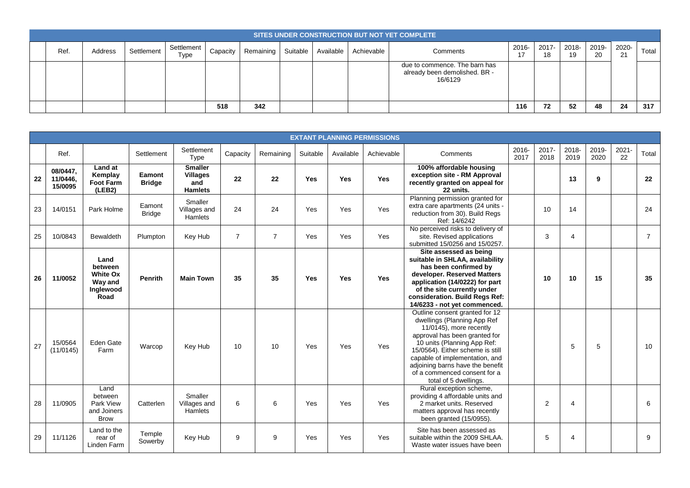|      |                |            |                      |          |           |          |           |            | SITES UNDER CONSTRUCTION BUT NOT YET COMPLETE                             |                |                |             |             |             |       |
|------|----------------|------------|----------------------|----------|-----------|----------|-----------|------------|---------------------------------------------------------------------------|----------------|----------------|-------------|-------------|-------------|-------|
| Ref. | <b>Address</b> | Settlement | Settlement  <br>Type | Capacity | Remaining | Suitable | Available | Achievable | Comments                                                                  | $2016 -$<br>17 | $2017 -$<br>18 | 2018-<br>19 | 2019-<br>20 | 2020-<br>21 | Total |
|      |                |            |                      |          |           |          |           |            | due to commence. The barn has<br>already been demolished. BR -<br>16/6129 |                |                |             |             |             |       |
|      |                |            |                      | 518      | 342       |          |           |            |                                                                           | 116            | 72             | 52          | 48          | 24          | 317   |

|    |                                 |                                                                    |                         |                                                            |                |                |          |           | <b>EXTANT PLANNING PERMISSIONS</b> |                                                                                                                                                                                                                                                                                                                             |               |               |                |               |                |                |
|----|---------------------------------|--------------------------------------------------------------------|-------------------------|------------------------------------------------------------|----------------|----------------|----------|-----------|------------------------------------|-----------------------------------------------------------------------------------------------------------------------------------------------------------------------------------------------------------------------------------------------------------------------------------------------------------------------------|---------------|---------------|----------------|---------------|----------------|----------------|
|    | Ref.                            |                                                                    | Settlement              | Settlement<br>Type                                         | Capacity       | Remaining      | Suitable | Available | Achievable                         | Comments                                                                                                                                                                                                                                                                                                                    | 2016-<br>2017 | 2017-<br>2018 | 2018-<br>2019  | 2019-<br>2020 | $2021 -$<br>22 | Total          |
| 22 | 08/0447.<br>11/0446.<br>15/0095 | Land at<br>Kemplay<br><b>Foot Farm</b><br>(LEB2)                   | Eamont<br><b>Bridge</b> | <b>Smaller</b><br><b>Villages</b><br>and<br><b>Hamlets</b> | 22             | 22             | Yes      | Yes       | <b>Yes</b>                         | 100% affordable housing<br>exception site - RM Approval<br>recently granted on appeal for<br>22 units.                                                                                                                                                                                                                      |               |               | 13             | 9             |                | 22             |
| 23 | 14/0151                         | Park Holme                                                         | Eamont<br><b>Bridge</b> | Smaller<br>Villages and<br>Hamlets                         | 24             | 24             | Yes      | Yes       | Yes                                | Planning permission granted for<br>extra care apartments (24 units -<br>reduction from 30). Build Regs<br>Ref: 14/6242                                                                                                                                                                                                      |               | 10            | 14             |               |                | 24             |
| 25 | 10/0843                         | Bewaldeth                                                          | Plumpton                | Key Hub                                                    | $\overline{7}$ | $\overline{7}$ | Yes      | Yes       | Yes                                | No perceived risks to delivery of<br>site. Revised applications<br>submitted 15/0256 and 15/0257.                                                                                                                                                                                                                           |               | 3             | $\overline{4}$ |               |                | $\overline{7}$ |
| 26 | 11/0052                         | Land<br>between<br><b>White Ox</b><br>Way and<br>Inglewood<br>Road | <b>Penrith</b>          | <b>Main Town</b>                                           | 35             | 35             | Yes      | Yes       | Yes                                | Site assessed as being<br>suitable in SHLAA, availability<br>has been confirmed by<br>developer. Reserved Matters<br>application (14/0222) for part<br>of the site currently under<br>consideration. Build Regs Ref:<br>14/6233 - not yet commenced.                                                                        |               | 10            | 10             | 15            |                | 35             |
| 27 | 15/0564<br>(11/0145)            | Eden Gate<br>Farm                                                  | Warcop                  | Key Hub                                                    | 10             | 10             | Yes      | Yes       | Yes                                | Outline consent granted for 12<br>dwellings (Planning App Ref<br>11/0145), more recently<br>approval has been granted for<br>10 units (Planning App Ref:<br>15/0564). Either scheme is still<br>capable of implementation, and<br>adjoining barns have the benefit<br>of a commenced consent for a<br>total of 5 dwellings. |               |               | 5              | 5             |                | 10             |
| 28 | 11/0905                         | Land<br>between<br>Park View<br>and Joiners<br><b>Brow</b>         | Catterlen               | Smaller<br>Villages and<br>Hamlets                         | 6              | 6              | Yes      | Yes       | Yes                                | Rural exception scheme,<br>providing 4 affordable units and<br>2 market units. Reserved<br>matters approval has recently<br>been granted (15/0955).                                                                                                                                                                         |               | 2             | $\overline{4}$ |               |                | 6              |
| 29 | 11/1126                         | Land to the<br>rear of<br>Linden Farm                              | Temple<br>Sowerby       | Key Hub                                                    | 9              | 9              | Yes      | Yes       | Yes                                | Site has been assessed as<br>suitable within the 2009 SHLAA.<br>Waste water issues have been                                                                                                                                                                                                                                |               | 5             | $\overline{4}$ |               |                | 9              |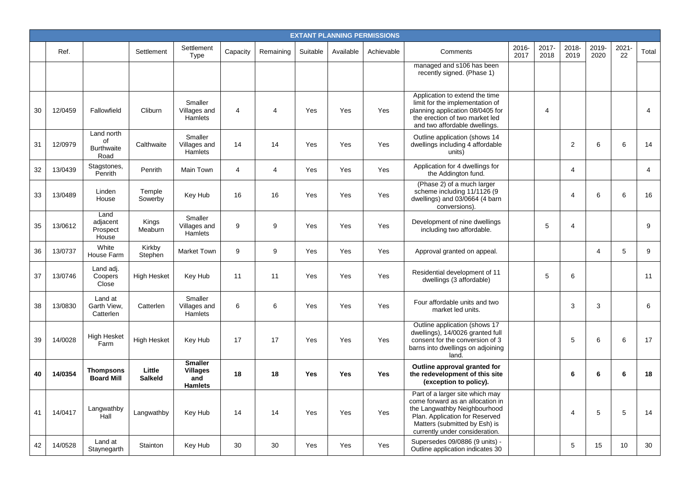|    |         |                                               |                          |                                                            |                  |                |            |            | <b>EXTANT PLANNING PERMISSIONS</b> |                                                                                                                                                                                                          |               |                |                |                |             |                |
|----|---------|-----------------------------------------------|--------------------------|------------------------------------------------------------|------------------|----------------|------------|------------|------------------------------------|----------------------------------------------------------------------------------------------------------------------------------------------------------------------------------------------------------|---------------|----------------|----------------|----------------|-------------|----------------|
|    | Ref.    |                                               | Settlement               | Settlement<br>Type                                         | Capacity         | Remaining      | Suitable   | Available  | Achievable                         | Comments                                                                                                                                                                                                 | 2016-<br>2017 | 2017-<br>2018  | 2018-<br>2019  | 2019-<br>2020  | 2021-<br>22 | Total          |
|    |         |                                               |                          |                                                            |                  |                |            |            |                                    | managed and s106 has been<br>recently signed. (Phase 1)                                                                                                                                                  |               |                |                |                |             |                |
| 30 | 12/0459 | Fallowfield                                   | Cliburn                  | Smaller<br>Villages and<br>Hamlets                         | $\overline{4}$   | 4              | Yes        | Yes        | Yes                                | Application to extend the time<br>limit for the implementation of<br>planning application 08/0405 for<br>the erection of two market led<br>and two affordable dwellings.                                 |               | $\overline{4}$ |                |                |             | $\overline{4}$ |
| 31 | 12/0979 | Land north<br>οf<br><b>Burthwaite</b><br>Road | Calthwaite               | Smaller<br>Villages and<br>Hamlets                         | 14               | 14             | Yes        | Yes        | Yes                                | Outline application (shows 14<br>dwellings including 4 affordable<br>units)                                                                                                                              |               |                | 2              | 6              | 6           | 14             |
| 32 | 13/0439 | Stagstones,<br>Penrith                        | Penrith                  | Main Town                                                  | $\overline{4}$   | $\overline{4}$ | Yes        | Yes        | Yes                                | Application for 4 dwellings for<br>the Addington fund.                                                                                                                                                   |               |                | 4              |                |             | 4              |
| 33 | 13/0489 | Linden<br>House                               | Temple<br>Sowerby        | Key Hub                                                    | 16               | 16             | Yes        | Yes        | Yes                                | (Phase 2) of a much larger<br>scheme including 11/1126 (9<br>dwellings) and 03/0664 (4 barn<br>conversions).                                                                                             |               |                | $\overline{4}$ | 6              | 6           | 16             |
| 35 | 13/0612 | Land<br>adjacent<br>Prospect<br>House         | Kings<br>Meaburn         | Smaller<br>Villages and<br>Hamlets                         | $\boldsymbol{9}$ | 9              | Yes        | Yes        | Yes                                | Development of nine dwellings<br>including two affordable.                                                                                                                                               |               | 5              | $\overline{4}$ |                |             | 9              |
| 36 | 13/0737 | White<br>House Farm                           | Kirkby<br>Stephen        | Market Town                                                | 9                | 9              | Yes        | Yes        | Yes                                | Approval granted on appeal.                                                                                                                                                                              |               |                |                | $\overline{4}$ | 5           | 9              |
| 37 | 13/0746 | Land adj.<br>Coopers<br>Close                 | <b>High Hesket</b>       | Key Hub                                                    | 11               | 11             | Yes        | Yes        | Yes                                | Residential development of 11<br>dwellings (3 affordable)                                                                                                                                                |               | 5              | 6              |                |             | 11             |
| 38 | 13/0830 | Land at<br>Garth View,<br>Catterlen           | Catterlen                | Smaller<br>Villages and<br>Hamlets                         | 6                | 6              | Yes        | Yes        | Yes                                | Four affordable units and two<br>market led units.                                                                                                                                                       |               |                | 3              | 3              |             | 6              |
| 39 | 14/0028 | <b>High Hesket</b><br>Farm                    | <b>High Hesket</b>       | Key Hub                                                    | 17               | 17             | Yes        | Yes        | Yes                                | Outline application (shows 17<br>dwellings), 14/0026 granted full<br>consent for the conversion of 3<br>barns into dwellings on adjoining<br>land.                                                       |               |                | 5              | 6              | 6           | 17             |
| 40 | 14/0354 | Thompsons<br><b>Board Mill</b>                | Little<br><b>Salkeld</b> | <b>Smaller</b><br><b>Villages</b><br>and<br><b>Hamlets</b> | 18               | 18             | <b>Yes</b> | <b>Yes</b> | <b>Yes</b>                         | Outline approval granted for<br>the redevelopment of this site<br>(exception to policy).                                                                                                                 |               |                | 6              | 6              | 6           | 18             |
| 41 | 14/0417 | Langwathby<br>Hall                            | Langwathby               | Key Hub                                                    | 14               | 14             | Yes        | Yes        | Yes                                | Part of a larger site which may<br>come forward as an allocation in<br>the Langwathby Neighbourhood<br>Plan. Application for Reserved<br>Matters (submitted by Esh) is<br>currently under consideration. |               |                | 4              | 5              | $\sqrt{5}$  | 14             |
| 42 | 14/0528 | Land at<br>Staynegarth                        | Stainton                 | Key Hub                                                    | 30               | 30             | Yes        | Yes        | Yes                                | Supersedes 09/0886 (9 units) -<br>Outline application indicates 30                                                                                                                                       |               |                | 5              | 15             | 10          | 30             |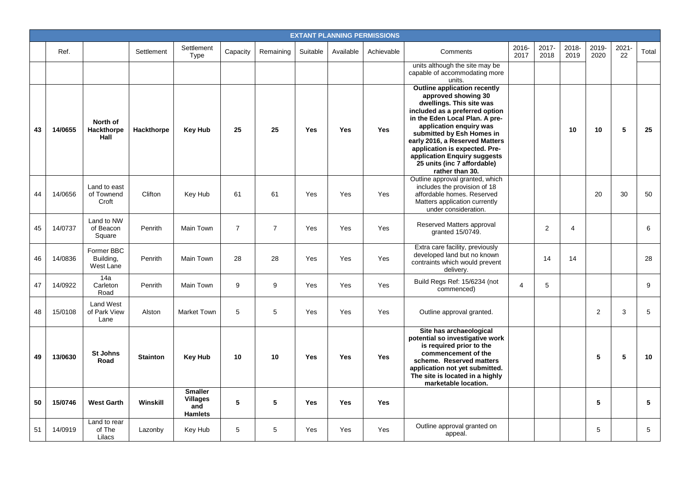|    |         |                                          |                 |                                                            |                |                 |            |            | <b>EXTANT PLANNING PERMISSIONS</b> |                                                                                                                                                                                                                                                                                                                                                                         |               |                |               |               |            |       |
|----|---------|------------------------------------------|-----------------|------------------------------------------------------------|----------------|-----------------|------------|------------|------------------------------------|-------------------------------------------------------------------------------------------------------------------------------------------------------------------------------------------------------------------------------------------------------------------------------------------------------------------------------------------------------------------------|---------------|----------------|---------------|---------------|------------|-------|
|    | Ref.    |                                          | Settlement      | Settlement<br>Type                                         | Capacity       | Remaining       | Suitable   | Available  | Achievable                         | Comments                                                                                                                                                                                                                                                                                                                                                                | 2016-<br>2017 | 2017-<br>2018  | 2018-<br>2019 | 2019-<br>2020 | 2021<br>22 | Total |
|    |         |                                          |                 |                                                            |                |                 |            |            |                                    | units although the site may be<br>capable of accommodating more<br>units.                                                                                                                                                                                                                                                                                               |               |                |               |               |            |       |
| 43 | 14/0655 | North of<br>Hackthorpe<br>Hall           | Hackthorpe      | <b>Key Hub</b>                                             | 25             | 25              | <b>Yes</b> | <b>Yes</b> | Yes                                | <b>Outline application recently</b><br>approved showing 30<br>dwellings. This site was<br>included as a preferred option<br>in the Eden Local Plan. A pre-<br>application enquiry was<br>submitted by Esh Homes in<br>early 2016, a Reserved Matters<br>application is expected. Pre-<br>application Enquiry suggests<br>25 units (inc 7 affordable)<br>rather than 30. |               |                | 10            | 10            | 5          | 25    |
| 44 | 14/0656 | Land to east<br>of Townend<br>Croft      | Clifton         | Key Hub                                                    | 61             | 61              | Yes        | Yes        | Yes                                | Outline approval granted, which<br>includes the provision of 18<br>affordable homes. Reserved<br>Matters application currently<br>under consideration.                                                                                                                                                                                                                  |               |                |               | 20            | 30         | 50    |
| 45 | 14/0737 | Land to NW<br>of Beacon<br>Square        | Penrith         | Main Town                                                  | $\overline{7}$ | $\overline{7}$  | Yes        | Yes        | Yes                                | Reserved Matters approval<br>granted 15/0749.                                                                                                                                                                                                                                                                                                                           |               | $\overline{2}$ | 4             |               |            | 6     |
| 46 | 14/0836 | Former BBC<br>Building,<br>West Lane     | Penrith         | Main Town                                                  | 28             | 28              | Yes        | Yes        | Yes                                | Extra care facility, previously<br>developed land but no known<br>contraints which would prevent<br>delivery.                                                                                                                                                                                                                                                           |               | 14             | 14            |               |            | 28    |
| 47 | 14/0922 | 14a<br>Carleton<br>Road                  | Penrith         | Main Town                                                  | 9              | 9               | Yes        | Yes        | Yes                                | Build Regs Ref: 15/6234 (not<br>commenced)                                                                                                                                                                                                                                                                                                                              | 4             | 5              |               |               |            | 9     |
| 48 | 15/0108 | <b>Land West</b><br>of Park View<br>Lane | Alston          | <b>Market Town</b>                                         | 5              | 5               | Yes        | Yes        | Yes                                | Outline approval granted.                                                                                                                                                                                                                                                                                                                                               |               |                |               | 2             | 3          | 5     |
| 49 | 13/0630 | <b>St Johns</b><br>Road                  | <b>Stainton</b> | <b>Key Hub</b>                                             | 10             | 10 <sup>1</sup> | Yes        | <b>Yes</b> | Yes                                | Site has archaeological<br>potential so investigative work<br>is required prior to the<br>commencement of the<br>scheme. Reserved matters<br>application not yet submitted.<br>The site is located in a highly<br>marketable location.                                                                                                                                  |               |                |               | 5             | 5          | 10    |
| 50 | 15/0746 | <b>West Garth</b>                        | Winskill        | <b>Smaller</b><br><b>Villages</b><br>and<br><b>Hamlets</b> | 5              | 5               | Yes        | <b>Yes</b> | <b>Yes</b>                         |                                                                                                                                                                                                                                                                                                                                                                         |               |                |               | 5             |            | 5     |
| 51 | 14/0919 | Land to rear<br>of The<br>Lilacs         | Lazonby         | Key Hub                                                    | 5              | 5               | Yes        | Yes        | Yes                                | Outline approval granted on<br>appeal.                                                                                                                                                                                                                                                                                                                                  |               |                |               | 5             |            | 5     |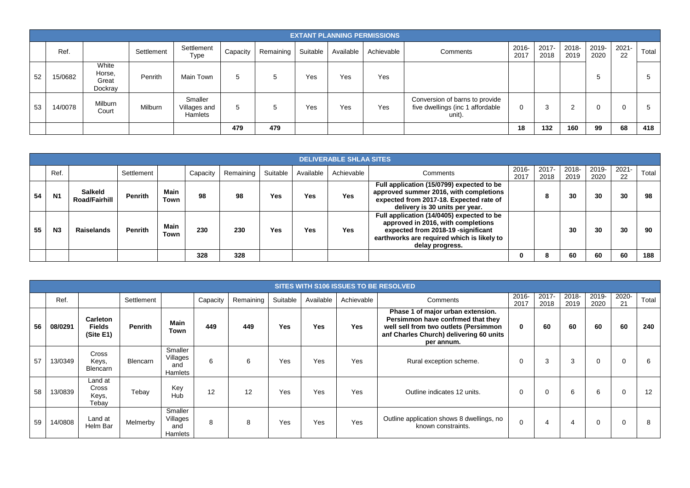|    |         |                                     |            |                                    |          |           |          |           | <b>EXTANT PLANNING PERMISSIONS</b> |                                                                              |               |                  |               |               |                |       |
|----|---------|-------------------------------------|------------|------------------------------------|----------|-----------|----------|-----------|------------------------------------|------------------------------------------------------------------------------|---------------|------------------|---------------|---------------|----------------|-------|
|    | Ref.    |                                     | Settlement | Settlement<br>Type                 | Capacity | Remaining | Suitable | Available | Achievable                         | Comments                                                                     | 2016-<br>2017 | $2017 -$<br>2018 | 2018-<br>2019 | 2019-<br>2020 | $2021 -$<br>22 | Total |
| 52 | 15/0682 | White<br>Horse,<br>Great<br>Dockray | Penrith    | Main Town                          |          |           | Yes      | Yes       | Yes                                |                                                                              |               |                  |               | ◡             |                |       |
| 53 | 14/0078 | Milburn<br>Court                    | Milburn    | Smaller<br>Villages and<br>Hamlets | -5       |           | Yes      | Yes       | Yes                                | Conversion of barns to provide<br>five dwellings (inc 1 affordable<br>unit). | 0             | 3                | ◠             | 0             |                |       |
|    |         |                                     |            |                                    | 479      | 479       |          |           |                                    |                                                                              | 18            | 132              | 160           | 99            | 68             | 418   |

|    |                |                                        |                |                     |          |           |          |           | <b>DELIVERABLE SHLAA SITES</b> |                                                                                                                                                                                        |               |                  |                  |               |                |       |
|----|----------------|----------------------------------------|----------------|---------------------|----------|-----------|----------|-----------|--------------------------------|----------------------------------------------------------------------------------------------------------------------------------------------------------------------------------------|---------------|------------------|------------------|---------------|----------------|-------|
|    | Ref.           |                                        | Settlement     |                     | Capacity | Remaining | Suitable | Available | Achievable                     | Comments                                                                                                                                                                               | 2016-<br>2017 | $2017 -$<br>2018 | $2018 -$<br>2019 | 2019-<br>2020 | $2021 -$<br>22 | Total |
| 54 | N <sub>1</sub> | <b>Salkeld</b><br><b>Road/Fairhill</b> | <b>Penrith</b> | Main<br>Town        | 98       | 98        | Yes      | Yes       | Yes                            | Full application (15/0799) expected to be<br>approved summer 2016, with completions<br>expected from 2017-18. Expected rate of<br>delivery is 30 units per year.                       |               | o                | 30               | 30            | 30             | 98    |
| 55 | N <sub>3</sub> | <b>Raiselands</b>                      | <b>Penrith</b> | <b>Main</b><br>Town | 230      | 230       | Yes      | Yes       | <b>Yes</b>                     | Full application (14/0405) expected to be<br>approved in 2016, with completions<br>expected from 2018-19 -significant<br>earthworks are required which is likely to<br>delay progress. |               |                  | 30               | 30            | 30             | 90    |
|    |                |                                        |                |                     | 328      | 328       |          |           |                                |                                                                                                                                                                                        |               | o                | 60               | 60            | 60             | 188   |

|    |         |                                               |                |                                       |          |           |          |           | <b>SITES WITH S106 ISSUES TO BE RESOLVED</b> |                                                                                                                                                                          |               |               |               |               |             |       |
|----|---------|-----------------------------------------------|----------------|---------------------------------------|----------|-----------|----------|-----------|----------------------------------------------|--------------------------------------------------------------------------------------------------------------------------------------------------------------------------|---------------|---------------|---------------|---------------|-------------|-------|
|    | Ref.    |                                               | Settlement     |                                       | Capacity | Remaining | Suitable | Available | Achievable                                   | Comments                                                                                                                                                                 | 2016-<br>2017 | 2017-<br>2018 | 2018-<br>2019 | 2019-<br>2020 | 2020-<br>21 | Total |
| 56 | 08/0291 | <b>Carleton</b><br><b>Fields</b><br>(Site E1) | <b>Penrith</b> | Main<br><b>Town</b>                   | 449      | 449       | Yes      | Yes       | <b>Yes</b>                                   | Phase 1 of major urban extension.<br>Persimmon have confrmed that they<br>well sell from two outlets (Persimmon<br>anf Charles Church) delivering 60 units<br>per annum. | $\mathbf 0$   | 60            | 60            | 60            | 60          | 240   |
| 57 | 13/0349 | Cross<br>Keys,<br><b>Blencarn</b>             | Blencarn       | Smaller<br>Villages<br>and<br>Hamlets | 6        | 6         | Yes      | Yes       | Yes                                          | Rural exception scheme.                                                                                                                                                  | 0             | 3             | 3             | $\Omega$      |             | 6     |
| 58 | 13/0839 | Land at<br>Cross<br>Keys,<br>Tebay            | Tebay          | Key<br>Hub                            | 12       | 12        | Yes      | Yes       | Yes                                          | Outline indicates 12 units.                                                                                                                                              | $\mathbf 0$   |               | 6             | 6             | $\Omega$    | 12    |
| 59 | 14/0808 | Land at<br>Helm Bar                           | Melmerby       | Smaller<br>Villages<br>and<br>Hamlets | 8        | 8         | Yes      | Yes       | Yes                                          | Outline application shows 8 dwellings, no<br>known constraints.                                                                                                          | $\mathbf 0$   |               | 4             | $\Omega$      | $\Omega$    | 8     |